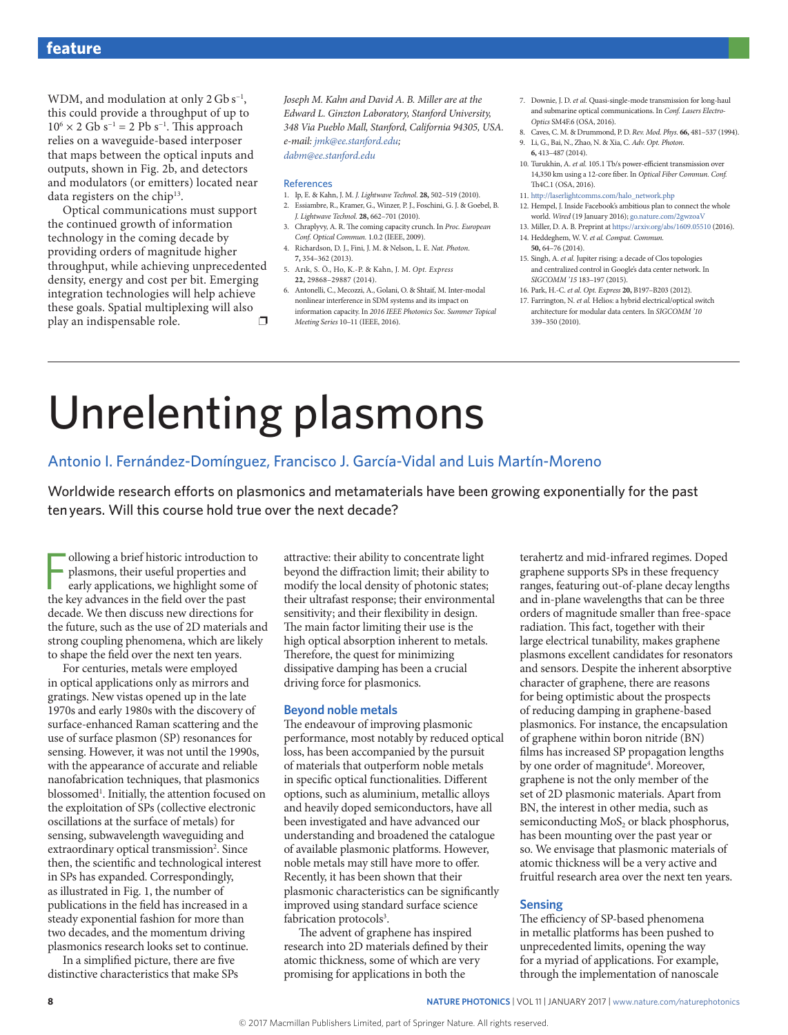WDM, and modulation at only 2 Gb s<sup>-1</sup>, this could provide a throughput of up to  $10^6 \times 2$  Gb s<sup>-1</sup> = 2 Pb s<sup>-1</sup>. This approach relies on a waveguide-based interposer that maps between the optical inputs and outputs, shown in Fig. 2b, and detectors and modulators (or emitters) located near data registers on the chip<sup>13</sup>.

Optical communications must support the continued growth of information technology in the coming decade by providing orders of magnitude higher throughput, while achieving unprecedented density, energy and cost per bit. Emerging integration technologies will help achieve these goals. Spatial multiplexing will also play an indispensable role.  $\Box$  *Joseph M. Kahn and David A. B. Miller are at the Edward L. Ginzton Laboratory, Stanford University, 348 Via Pueblo Mall, Stanford, California 94305, USA. e-mail: jmk@ee.stanford.edu; dabm@ee.stanford.edu*

#### References

- 1. Ip, E. & Kahn, J. M. *J. Lightwave Technol*. **28,** 502–519 (2010). 2. Essiambre, R., Kramer, G., Winzer, P. J., Foschini, G. J. & Goebel, B.
- *J. Lightwave Technol.* **28,** 662–701 (2010). 3. Chraplyvy, A. R. The coming capacity crunch. In *Proc. European*
- *Conf. Optical Commun.* 1.0.2 (IEEE, 2009). 4. Richardson, D. J., Fini, J. M. & Nelson, L. E. *Nat. Photon*. **7,** 354–362 (2013).
- 5. Arık, S. Ö., Ho, K.-P. & Kahn, J. M. *Opt. Express* **22,** 29868–29887 (2014).
- 6. Antonelli, C., Mecozzi, A., Golani, O. & Shtaif, M. Inter-modal nonlinear interference in SDM systems and its impact on information capacity. In *2016 IEEE Photonics Soc. Summer Topical Meeting Series* 10–11 (IEEE, 2016).
- 7. Downie, J. D. *et al.* Quasi-single-mode transmission for long-haul and submarine optical communications. In *Conf. Lasers Electro-Optics* SM4F.6 (OSA, 2016).
- 8. Caves, C. M. & Drummond, P. D. *Rev. Mod. Phys.* **66,** 481–537 (1994). 9. Li, G., Bai, N., Zhao, N. & Xia, C. *Adv. Opt. Photon*. **6,** 413–487 (2014).
- 10. Turukhin, A. *et al.* 105.1 Tb/s power-efficient transmission over 14,350 km using a 12-core fiber. In *Optical Fiber Commun. Conf.* Th<sub>4</sub>C<sub>1</sub> (OSA, 2016).
- 11. http://laserlightcomms.com/halo\_network.php
- 12. Hempel, J. Inside Facebook's ambitious plan to connect the whole world. *Wired* (19 January 2016);<go.nature.com/2gwzoaV>
- 13. Miller, D. A. B. Preprint at <https://arxiv.org/abs/1609.05510> (2016). 14. Heddeghem, W. V. *et al. Comput. Commun.*
- **50,** 64–76 (2014).
- 15. Singh, A. *et al.* Jupiter rising: a decade of Clos topologies and centralized control in Google's data center network. In *SIGCOMM '15* 183–197 (2015).
- 16. Park, H.-C. *et al. Opt. Express* **20,** B197–B203 (2012).
- 17. Farrington, N. *et al.* Helios: a hybrid electrical/optical switch architecture for modular data centers. In *SIGCOMM '10*  339–350 (2010).

# Unrelenting plasmons

# Antonio I. Fernández-Domínguez, Francisco J. García-Vidal and Luis Martín-Moreno

Worldwide research efforts on plasmonics and metamaterials have been growing exponentially for the past ten years. Will this course hold true over the next decade?

ollowing a brief historic introduction plasmons, their useful properties and early applications, we highlight some the key advances in the field over the past ollowing a brief historic introduction to plasmons, their useful properties and early applications, we highlight some of decade. We then discuss new directions for the future, such as the use of 2D materials and strong coupling phenomena, which are likely to shape the field over the next ten years.

For centuries, metals were employed in optical applications only as mirrors and gratings. New vistas opened up in the late 1970s and early 1980s with the discovery of surface-enhanced Raman scattering and the use of surface plasmon (SP) resonances for sensing. However, it was not until the 1990s, with the appearance of accurate and reliable nanofabrication techniques, that plasmonics blossomed<sup>1</sup>. Initially, the attention focused on the exploitation of SPs (collective electronic oscillations at the surface of metals) for sensing, subwavelength waveguiding and extraordinary optical transmission<sup>2</sup>. Since then, the scientific and technological interest in SPs has expanded. Correspondingly, as illustrated in Fig. 1, the number of publications in the field has increased in a steady exponential fashion for more than two decades, and the momentum driving plasmonics research looks set to continue.

In a simplified picture, there are five distinctive characteristics that make SPs attractive: their ability to concentrate light beyond the diffraction limit; their ability to modify the local density of photonic states; their ultrafast response; their environmental sensitivity; and their flexibility in design. The main factor limiting their use is the high optical absorption inherent to metals. Therefore, the quest for minimizing dissipative damping has been a crucial driving force for plasmonics.

# **Beyond noble metals**

The endeavour of improving plasmonic performance, most notably by reduced optical loss, has been accompanied by the pursuit of materials that outperform noble metals in specific optical functionalities. Different options, such as aluminium, metallic alloys and heavily doped semiconductors, have all been investigated and have advanced our understanding and broadened the catalogue of available plasmonic platforms. However, noble metals may still have more to offer. Recently, it has been shown that their plasmonic characteristics can be significantly improved using standard surface science fabrication protocols<sup>3</sup>.

The advent of graphene has inspired research into 2D materials defined by their atomic thickness, some of which are very promising for applications in both the

terahertz and mid-infrared regimes. Doped graphene supports SPs in these frequency ranges, featuring out-of-plane decay lengths and in-plane wavelengths that can be three orders of magnitude smaller than free-space radiation. This fact, together with their large electrical tunability, makes graphene plasmons excellent candidates for resonators and sensors. Despite the inherent absorptive character of graphene, there are reasons for being optimistic about the prospects of reducing damping in graphene-based plasmonics. For instance, the encapsulation of graphene within boron nitride (BN) films has increased SP propagation lengths by one order of magnitude<sup>4</sup>. Moreover, graphene is not the only member of the set of 2D plasmonic materials. Apart from BN, the interest in other media, such as semiconducting MoS<sub>2</sub> or black phosphorus, has been mounting over the past year or so. We envisage that plasmonic materials of atomic thickness will be a very active and fruitful research area over the next ten years.

# **Sensing**

The efficiency of SP-based phenomena in metallic platforms has been pushed to unprecedented limits, opening the way for a myriad of applications. For example, through the implementation of nanoscale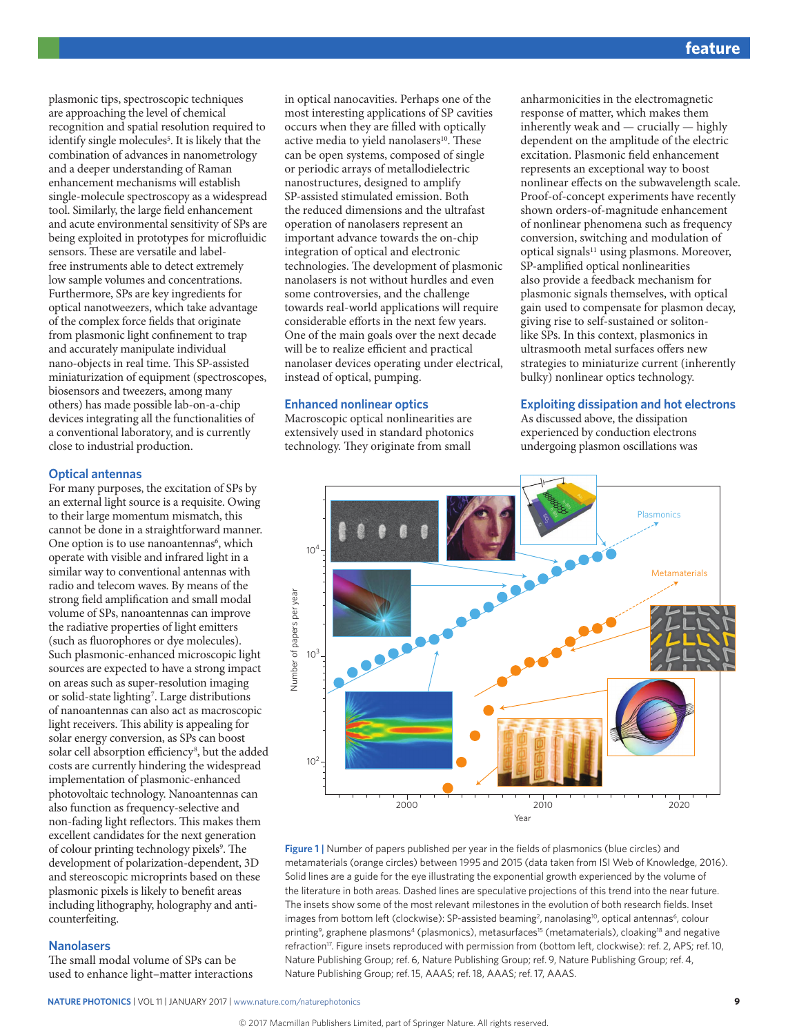plasmonic tips, spectroscopic techniques are approaching the level of chemical recognition and spatial resolution required to identify single molecules<sup>5</sup>. It is likely that the combination of advances in nanometrology and a deeper understanding of Raman enhancement mechanisms will establish single-molecule spectroscopy as a widespread tool. Similarly, the large field enhancement and acute environmental sensitivity of SPs are being exploited in prototypes for microfluidic sensors. These are versatile and labelfree instruments able to detect extremely low sample volumes and concentrations. Furthermore, SPs are key ingredients for optical nanotweezers, which take advantage of the complex force fields that originate from plasmonic light confinement to trap and accurately manipulate individual nano-objects in real time. This SP-assisted miniaturization of equipment (spectroscopes, biosensors and tweezers, among many others) has made possible lab-on-a-chip devices integrating all the functionalities of a conventional laboratory, and is currently close to industrial production.

# **Optical antennas**

For many purposes, the excitation of SPs by an external light source is a requisite. Owing to their large momentum mismatch, this cannot be done in a straightforward manner. One option is to use nanoantennas<sup>6</sup>, which operate with visible and infrared light in a similar way to conventional antennas with radio and telecom waves. By means of the strong field amplification and small modal volume of SPs, nanoantennas can improve the radiative properties of light emitters (such as fluorophores or dye molecules). Such plasmonic-enhanced microscopic light sources are expected to have a strong impact on areas such as super-resolution imaging or solid-state lighting<sup>7</sup>. Large distributions of nanoantennas can also act as macroscopic light receivers. This ability is appealing for solar energy conversion, as SPs can boost solar cell absorption efficiency<sup>8</sup>, but the added costs are currently hindering the widespread implementation of plasmonic-enhanced photovoltaic technology. Nanoantennas can also function as frequency-selective and non-fading light reflectors. This makes them excellent candidates for the next generation of colour printing technology pixels<sup>9</sup>. The development of polarization-dependent, 3D and stereoscopic microprints based on these plasmonic pixels is likely to benefit areas including lithography, holography and anticounterfeiting.

# **Nanolasers**

The small modal volume of SPs can be used to enhance light–matter interactions in optical nanocavities. Perhaps one of the most interesting applications of SP cavities occurs when they are filled with optically active media to yield nanolasers<sup>10</sup>. These can be open systems, composed of single or periodic arrays of metallodielectric nanostructures, designed to amplify SP-assisted stimulated emission. Both the reduced dimensions and the ultrafast operation of nanolasers represent an important advance towards the on-chip integration of optical and electronic technologies. The development of plasmonic nanolasers is not without hurdles and even some controversies, and the challenge towards real-world applications will require considerable efforts in the next few years. One of the main goals over the next decade will be to realize efficient and practical nanolaser devices operating under electrical, instead of optical, pumping.

# **Enhanced nonlinear optics**

Macroscopic optical nonlinearities are extensively used in standard photonics technology. They originate from small

anharmonicities in the electromagnetic response of matter, which makes them inherently weak and — crucially — highly dependent on the amplitude of the electric excitation. Plasmonic field enhancement represents an exceptional way to boost nonlinear effects on the subwavelength scale. Proof-of-concept experiments have recently shown orders-of-magnitude enhancement of nonlinear phenomena such as frequency conversion, switching and modulation of optical signals<sup>11</sup> using plasmons. Moreover, SP-amplified optical nonlinearities also provide a feedback mechanism for plasmonic signals themselves, with optical gain used to compensate for plasmon decay, giving rise to self-sustained or solitonlike SPs. In this context, plasmonics in ultrasmooth metal surfaces offers new strategies to miniaturize current (inherently bulky) nonlinear optics technology.

# **Exploiting dissipation and hot electrons**

As discussed above, the dissipation experienced by conduction electrons undergoing plasmon oscillations was



**Figure 1** | Number of papers published per year in the fields of plasmonics (blue circles) and metamaterials (orange circles) between 1995 and 2015 (data taken from ISI Web of Knowledge, 2016). Solid lines are a guide for the eye illustrating the exponential growth experienced by the volume of the literature in both areas. Dashed lines are speculative projections of this trend into the near future. The insets show some of the most relevant milestones in the evolution of both research fields. Inset images from bottom left (clockwise): SP-assisted beaming<sup>2</sup>, nanolasing<sup>10</sup>, optical antennas<sup>6</sup>, colour printing<sup>9</sup>, graphene plasmons<sup>4</sup> (plasmonics), metasurfaces<sup>15</sup> (metamaterials), cloaking<sup>18</sup> and negative refraction17. Figure insets reproduced with permission from (bottom left, clockwise): ref. 2, APS; ref. 10, Nature Publishing Group; ref. 6, Nature Publishing Group; ref. 9, Nature Publishing Group; ref. 4, Nature Publishing Group; ref. 15, AAAS; ref. 18, AAAS; ref. 17, AAAS.